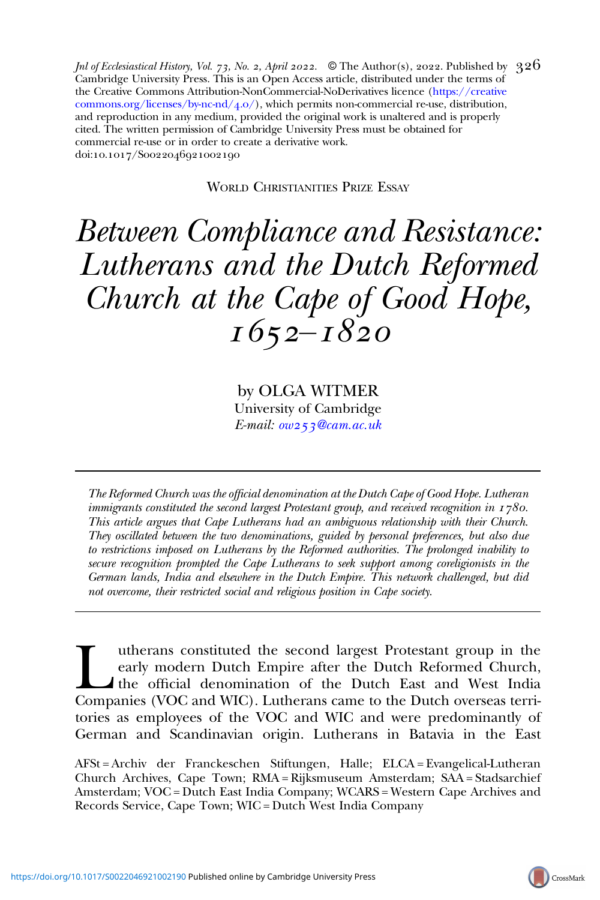Jnl of Ecclesiastical History, Vol. 73, No. 2, April 2022.  $\;$  © The Author(s), 2022. Published by  $\;326$ Cambridge University Press. This is an Open Access article, distributed under the terms of the Creative Commons Attribution-NonCommercial-NoDerivatives licence ([https://creative](https://creativecommons.org/licenses/by-nc-nd/4.0/) [commons.org/licenses/by-nc-nd/](https://creativecommons.org/licenses/by-nc-nd/4.0/) $(4.0)$ , which permits non-commercial re-use, distribution, and reproduction in any medium, provided the original work is unaltered and is properly cited. The written permission of Cambridge University Press must be obtained for commercial re-use or in order to create a derivative work. doi:10.1017/S0022046921002190

WORLD CHRISTIANITIES PRIZE ESSAY

# Between Compliance and Resistance: Lutherans and the Dutch Reformed Church at the Cape of Good Hope,  $1652 - 1820$

by OLGA WITMER University of Cambridge  $E$ -mail:  $ow253$ [@cam.ac.uk](mailto:ow253@cam.ac.uk)

The Reformed Church was the official denomination at the Dutch Cape of Good Hope. Lutheran immigrants constituted the second largest Protestant group, and received recognition in  $1780$ . This article argues that Cape Lutherans had an ambiguous relationship with their Church. They oscillated between the two denominations, guided by personal preferences, but also due to restrictions imposed on Lutherans by the Reformed authorities. The prolonged inability to secure recognition prompted the Cape Lutherans to seek support among coreligionists in the German lands, India and elsewhere in the Dutch Empire. This network challenged, but did not overcome, their restricted social and religious position in Cape society.

Im the rans constituted the second largest Protestant group in the early modern Dutch Empire after the Dutch Reformed Church, the official denomination of the Dutch East and West India Companies (VOC and WIC). Lutherans ca early modern Dutch Empire after the Dutch Reformed Church, the official denomination of the Dutch East and West India tories as employees of the VOC and WIC and were predominantly of German and Scandinavian origin. Lutherans in Batavia in the East

AFSt = Archiv der Franckeschen Stiftungen, Halle; ELCA = Evangelical-Lutheran Church Archives, Cape Town; RMA = Rijksmuseum Amsterdam; SAA = Stadsarchief Amsterdam; VOC = Dutch East India Company; WCARS = Western Cape Archives and Records Service, Cape Town; WIC = Dutch West India Company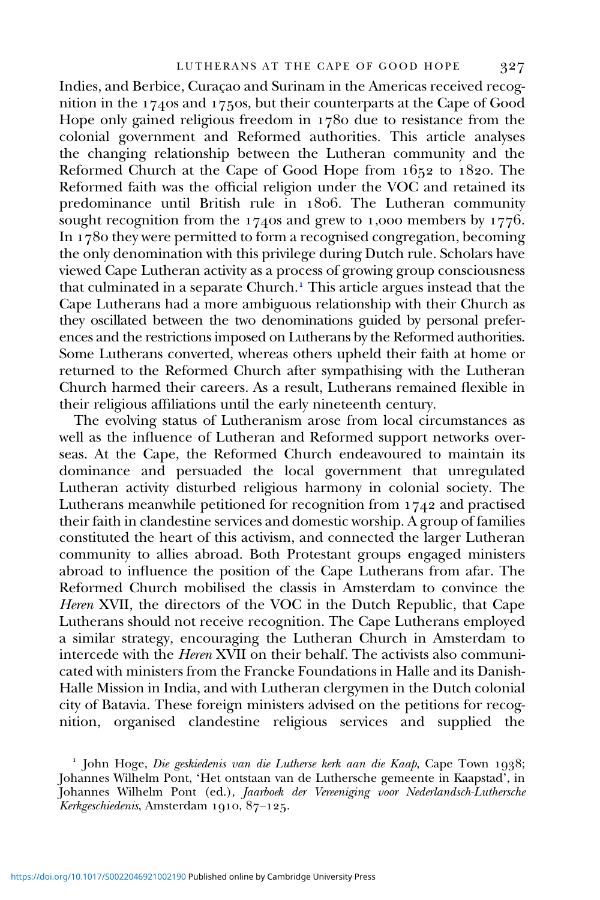Indies, and Berbice, Curaçao and Surinam in the Americas received recognition in the 1740s and 1750s, but their counterparts at the Cape of Good Hope only gained religious freedom in  $1780$  due to resistance from the colonial government and Reformed authorities. This article analyses the changing relationship between the Lutheran community and the Reformed Church at the Cape of Good Hope from  $1652$  to  $1820$ . The Reformed faith was the official religion under the VOC and retained its predominance until British rule in 1806. The Lutheran community sought recognition from the 1740s and grew to 1,000 members by 1776. In  $178$  they were permitted to form a recognised congregation, becoming the only denomination with this privilege during Dutch rule. Scholars have viewed Cape Lutheran activity as a process of growing group consciousness that culminated in a separate Church. This article argues instead that the Cape Lutherans had a more ambiguous relationship with their Church as they oscillated between the two denominations guided by personal preferences and the restrictions imposed on Lutherans by the Reformed authorities. Some Lutherans converted, whereas others upheld their faith at home or returned to the Reformed Church after sympathising with the Lutheran Church harmed their careers. As a result, Lutherans remained flexible in their religious affiliations until the early nineteenth century.

The evolving status of Lutheranism arose from local circumstances as well as the influence of Lutheran and Reformed support networks overseas. At the Cape, the Reformed Church endeavoured to maintain its dominance and persuaded the local government that unregulated Lutheran activity disturbed religious harmony in colonial society. The Lutherans meanwhile petitioned for recognition from  $1742$  and practised their faith in clandestine services and domestic worship. A group of families constituted the heart of this activism, and connected the larger Lutheran community to allies abroad. Both Protestant groups engaged ministers abroad to influence the position of the Cape Lutherans from afar. The Reformed Church mobilised the classis in Amsterdam to convince the Heren XVII, the directors of the VOC in the Dutch Republic, that Cape Lutherans should not receive recognition. The Cape Lutherans employed a similar strategy, encouraging the Lutheran Church in Amsterdam to intercede with the Heren XVII on their behalf. The activists also communicated with ministers from the Francke Foundations in Halle and its Danish-Halle Mission in India, and with Lutheran clergymen in the Dutch colonial city of Batavia. These foreign ministers advised on the petitions for recognition, organised clandestine religious services and supplied the

 $\frac{1}{1}$  John Hoge, Die geskiedenis van die Lutherse kerk aan die Kaap, Cape Town 1938; Johannes Wilhelm Pont, 'Het ontstaan van de Luthersche gemeente in Kaapstad', in Johannes Wilhelm Pont (ed.), Jaarboek der Vereeniging voor Nederlandsch-Luthersche Kerkgeschiedenis, Amsterdam 1910,  $87-125$ .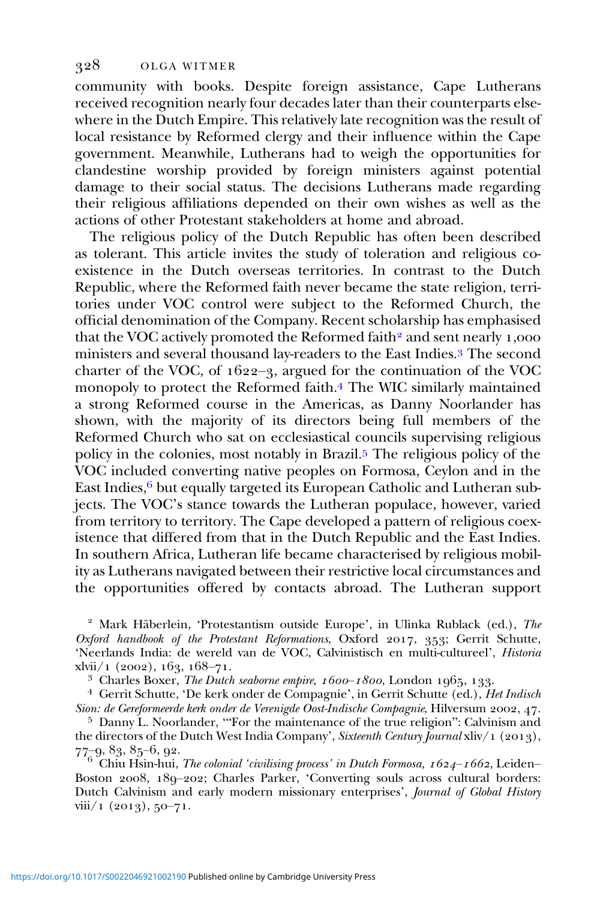community with books. Despite foreign assistance, Cape Lutherans received recognition nearly four decades later than their counterparts elsewhere in the Dutch Empire. This relatively late recognition was the result of local resistance by Reformed clergy and their influence within the Cape government. Meanwhile, Lutherans had to weigh the opportunities for clandestine worship provided by foreign ministers against potential damage to their social status. The decisions Lutherans made regarding their religious affiliations depended on their own wishes as well as the actions of other Protestant stakeholders at home and abroad.

The religious policy of the Dutch Republic has often been described as tolerant. This article invites the study of toleration and religious coexistence in the Dutch overseas territories. In contrast to the Dutch Republic, where the Reformed faith never became the state religion, territories under VOC control were subject to the Reformed Church, the official denomination of the Company. Recent scholarship has emphasised that the VOC actively promoted the Reformed faith<sup>2</sup> and sent nearly  $1,000$ ministers and several thousand lay-readers to the East Indies.<sup>3</sup> The second charter of the VOC, of  $1622-3$ , argued for the continuation of the VOC monopoly to protect the Reformed faith. The WIC similarly maintained a strong Reformed course in the Americas, as Danny Noorlander has shown, with the majority of its directors being full members of the Reformed Church who sat on ecclesiastical councils supervising religious policy in the colonies, most notably in Brazil.<sup>5</sup> The religious policy of the VOC included converting native peoples on Formosa, Ceylon and in the East Indies,  $6$  but equally targeted its European Catholic and Lutheran subjects. The VOC's stance towards the Lutheran populace, however, varied from territory to territory. The Cape developed a pattern of religious coexistence that differed from that in the Dutch Republic and the East Indies. In southern Africa, Lutheran life became characterised by religious mobility as Lutherans navigated between their restrictive local circumstances and the opportunities offered by contacts abroad. The Lutheran support

 $2$  Mark Häberlein, 'Protestantism outside Europe', in Ulinka Rublack (ed.), The Oxford handbook of the Protestant Reformations, Oxford 2017, 353; Gerrit Schutte, 'Neerlands India: de wereld van de VOC, Calvinistisch en multi-cultureel', *Historia* xlvii/1 (2002), 163, 168–71.

<sup>3</sup> Charles Boxer, *The Dutch seaborne empire, 1600*–1800, London 1965, 133.<br><sup>4</sup> Gerrit Schutte, 'De kerk onder de Compagnie', in Gerrit Schutte (ed.), *Het Indisch Sion: de Gereformeerde kerk onder de Verenigde Oost-Indi* 

 $5$  Danny L. Noorlander, "For the maintenance of the true religion": Calvinism and the directors of the Dutch West India Company', *Sixteenth Century Journal* xliv/1 (2013),<br>  $77-9, 83, 85-6, 92.$ <br>
<sup>6</sup> Chin Hein by: The class of the United States of the Century Journal xliv

Chiu Hsin-hui, The colonial 'civilising process' in Dutch Formosa,  $1624 - 1662$ , Leiden– Boston 2008, 189-202; Charles Parker, 'Converting souls across cultural borders: Dutch Calvinism and early modern missionary enterprises', Journal of Global History  $viii/1$  (2013), 50-71.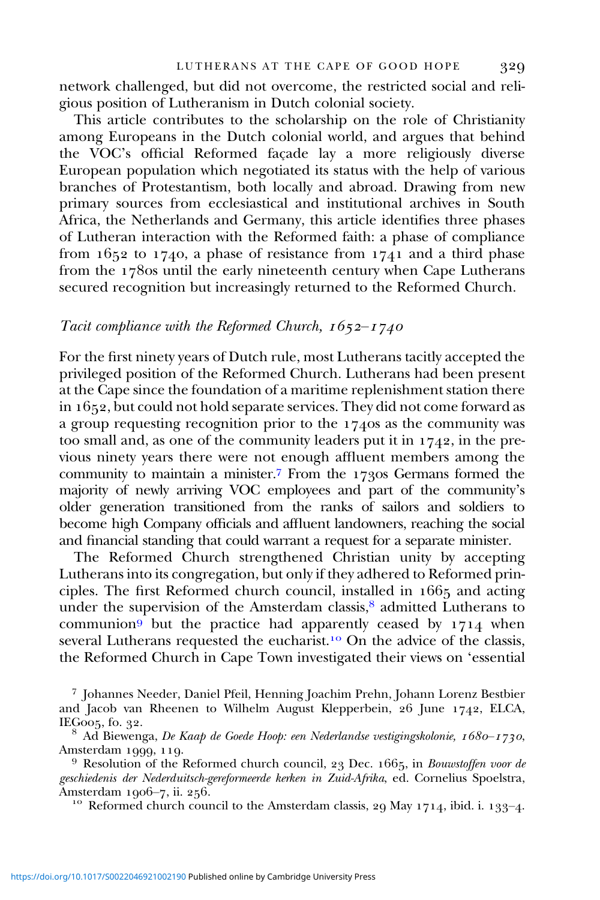network challenged, but did not overcome, the restricted social and religious position of Lutheranism in Dutch colonial society.

This article contributes to the scholarship on the role of Christianity among Europeans in the Dutch colonial world, and argues that behind the VOC's official Reformed façade lay a more religiously diverse European population which negotiated its status with the help of various branches of Protestantism, both locally and abroad. Drawing from new primary sources from ecclesiastical and institutional archives in South Africa, the Netherlands and Germany, this article identifies three phases of Lutheran interaction with the Reformed faith: a phase of compliance from  $1652$  to  $1740$ , a phase of resistance from  $1741$  and a third phase from the 1780s until the early nineteenth century when Cape Lutherans secured recognition but increasingly returned to the Reformed Church.

#### Tacit compliance with the Reformed Church,  $1652 - 1740$

For the first ninety years of Dutch rule, most Lutherans tacitly accepted the privileged position of the Reformed Church. Lutherans had been present at the Cape since the foundation of a maritime replenishment station there in  $1652$ , but could not hold separate services. They did not come forward as a group requesting recognition prior to the  $1740s$  as the community was too small and, as one of the community leaders put it in  $1742$ , in the previous ninety years there were not enough affluent members among the community to maintain a minister.7 From the 1730s Germans formed the majority of newly arriving VOC employees and part of the community's older generation transitioned from the ranks of sailors and soldiers to become high Company officials and affluent landowners, reaching the social and financial standing that could warrant a request for a separate minister.

The Reformed Church strengthened Christian unity by accepting Lutherans into its congregation, but only if they adhered to Reformed principles. The first Reformed church council, installed in  $1665$  and acting under the supervision of the Amsterdam classis,<sup>8</sup> admitted Lutherans to communion<sup>9</sup> but the practice had apparently ceased by  $1714$  when several Lutherans requested the eucharist.<sup>10</sup> On the advice of the classis, the Reformed Church in Cape Town investigated their views on 'essential

<sup>7</sup> Johannes Needer, Daniel Pfeil, Henning Joachim Prehn, Johann Lorenz Bestbier and Jacob van Rheenen to Wilhelm August Klepperbein,  $26$  June 1742, ELCA, IEG005, fo. 32.<br><sup>8</sup> Ad Biewenga, *De Kaap de Goede Hoop: een Nederlandse vestigingskolonie, 1680–1730*,

Amsterdam 1999, 119.<br><sup>9</sup> Resolution of the Reformed church council, 23 Dec. 1665, in *Bouwstoffen voor de* 

geschiedenis der Nederduitsch-gereformeerde kerken in Zuid-Afrika, ed. Cornelius Spoelstra,<br>Amsterdam 1906–7, ii. 256.

<sup>10</sup> Reformed church council to the Amsterdam classis, 29 May 1714, ibid. i. 133-4.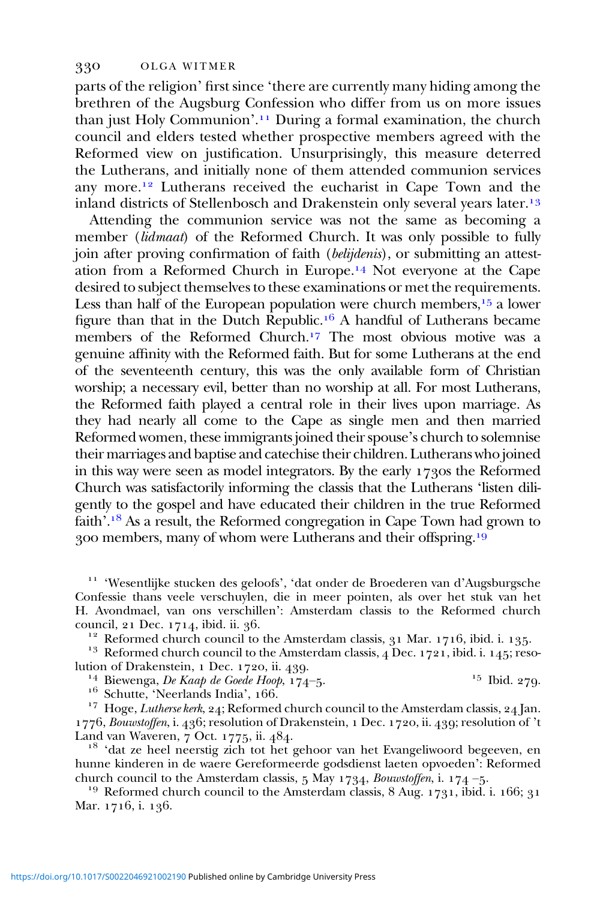parts of the religion' first since 'there are currently many hiding among the brethren of the Augsburg Confession who differ from us on more issues than just Holy Communion'.<sup>11</sup> During a formal examination, the church council and elders tested whether prospective members agreed with the Reformed view on justification. Unsurprisingly, this measure deterred the Lutherans, and initially none of them attended communion services any more.<sup>12</sup> Lutherans received the eucharist in Cape Town and the inland districts of Stellenbosch and Drakenstein only several years later.<sup>13</sup>

Attending the communion service was not the same as becoming a member (lidmaat) of the Reformed Church. It was only possible to fully join after proving confirmation of faith (*belijdenis*), or submitting an attestation from a Reformed Church in Europe.<sup>14</sup> Not everyone at the Cape desired to subject themselves to these examinations or met the requirements. Less than half of the European population were church members,  $15$  a lower figure than that in the Dutch Republic.<sup>16</sup> A handful of Lutherans became members of the Reformed Church.<sup>17</sup> The most obvious motive was a genuine affinity with the Reformed faith. But for some Lutherans at the end of the seventeenth century, this was the only available form of Christian worship; a necessary evil, better than no worship at all. For most Lutherans, the Reformed faith played a central role in their lives upon marriage. As they had nearly all come to the Cape as single men and then married Reformed women, these immigrants joined their spouse's church to solemnise their marriages and baptise and catechise their children. Lutherans who joined in this way were seen as model integrators. By the early  $173$  os the Reformed Church was satisfactorily informing the classis that the Lutherans 'listen diligently to the gospel and have educated their children in the true Reformed faith'.<sup>18</sup> As a result, the Reformed congregation in Cape Town had grown to 300 members, many of whom were Lutherans and their offspring.<sup>19</sup>

 'Wesentlijke stucken des geloofs', 'dat onder de Broederen van d'Augsburgsche Confessie thans veele verschuylen, die in meer pointen, als over het stuk van het H. Avondmael, van ons verschillen': Amsterdam classis to the Reformed church

<sup>12</sup> Reformed church council to the Amsterdam classis,  $31$  Mar. 1716, ibid. i. 135.<br><sup>13</sup> Reformed church council to the Amsterdam classis, 4 Dec. 1721, ibid. i. 145; reso-<br>lution of Drakenstein, 1 Dec. 1720, ii. 439.

<sup>14</sup> Biewenga, *De Kaap de Goede Hoop*, 174–5.<br><sup>16</sup> Schutte, 'Neerlands India', 166.<br><sup>17</sup> Hoge, *Lutherse kerk*, 24; Reformed church council to the Amsterdam classis, 24 Jan.

1776, Bouwstoffen, i. 436; resolution of Drakenstein, 1 Dec. 1720, ii. 439; resolution of 't Land van Waveren, 7 Oct. 1775, ii. 484.

<sup>18</sup> 'dat ze heel neerstig zich tot het gehoor van het Evangeliwoord begeeven, en hunne kinderen in de waere Gereformeerde godsdienst laeten opvoeden': Reformed church council to the Amsterdam classis, 5 May 1734, *Bouwstoffen*, i. 174 –5.

<sup>19</sup> Reformed church council to the Amsterdam classis,  $8$  Aug.  $1731$ , ibid. i.  $166$ ;  $31$ Mar. 1716, i. 136.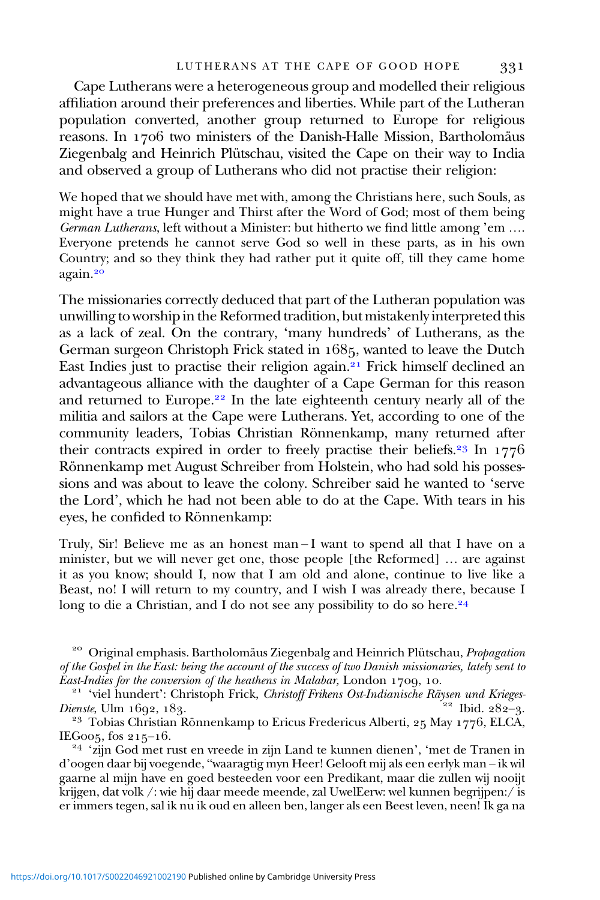Cape Lutherans were a heterogeneous group and modelled their religious affiliation around their preferences and liberties. While part of the Lutheran population converted, another group returned to Europe for religious reasons. In 1706 two ministers of the Danish-Halle Mission, Bartholomäus Ziegenbalg and Heinrich Plütschau, visited the Cape on their way to India and observed a group of Lutherans who did not practise their religion:

We hoped that we should have met with, among the Christians here, such Souls, as might have a true Hunger and Thirst after the Word of God; most of them being German Lutherans, left without a Minister: but hitherto we find little among 'em .... Everyone pretends he cannot serve God so well in these parts, as in his own Country; and so they think they had rather put it quite off, till they came home again.

The missionaries correctly deduced that part of the Lutheran population was unwilling to worship in the Reformed tradition, but mistakenly interpreted this as a lack of zeal. On the contrary, 'many hundreds' of Lutherans, as the German surgeon Christoph Frick stated in 1685, wanted to leave the Dutch East Indies just to practise their religion again.<sup>21</sup> Frick himself declined an advantageous alliance with the daughter of a Cape German for this reason and returned to Europe.<sup>22</sup> In the late eighteenth century nearly all of the militia and sailors at the Cape were Lutherans. Yet, according to one of the community leaders, Tobias Christian Rönnenkamp, many returned after their contracts expired in order to freely practise their beliefs.<sup>23</sup> In  $1776$ Rönnenkamp met August Schreiber from Holstein, who had sold his possessions and was about to leave the colony. Schreiber said he wanted to 'serve the Lord', which he had not been able to do at the Cape. With tears in his eyes, he confided to Rönnenkamp:

Truly, Sir! Believe me as an honest man – I want to spend all that I have on a minister, but we will never get one, those people [the Reformed] … are against it as you know; should I, now that I am old and alone, continue to live like a Beast, no! I will return to my country, and I wish I was already there, because I long to die a Christian, and I do not see any possibility to do so here.<sup>24</sup>

<sup>20</sup> Original emphasis. Bartholomäus Ziegenbalg and Heinrich Plütschau, *Propagation* of the Gospel in the East: being the account of the success of two Danish missionaries, lately sent to

East-Indies for the conversion of the heathens in Malabar, London 1709, 10.<br><sup>21</sup> 'viel hundert': Christoph Frick, *Christoff Frikens Ost-Indianische Räysen und Krieges-*<br>22 Ibid. 282–3.

<sup>23</sup> Tobias Christian Rönnenkamp to Ericus Fredericus Alberti, 25 May 1776, ELCA,

IEG005, fos 215–16.<br><sup>24</sup> 'zijn God met rust en vreede in zijn Land te kunnen dienen', 'met de Tranen in d'oogen daar bij voegende, "waaragtig myn Heer! Gelooft mij als een eerlyk man – ik wil gaarne al mijn have en goed besteeden voor een Predikant, maar die zullen wij nooijt krijgen, dat volk /: wie hij daar meede meende, zal UwelEerw: wel kunnen begrijpen:/ is er immers tegen, sal ik nu ik oud en alleen ben, langer als een Beest leven, neen! Ik ga na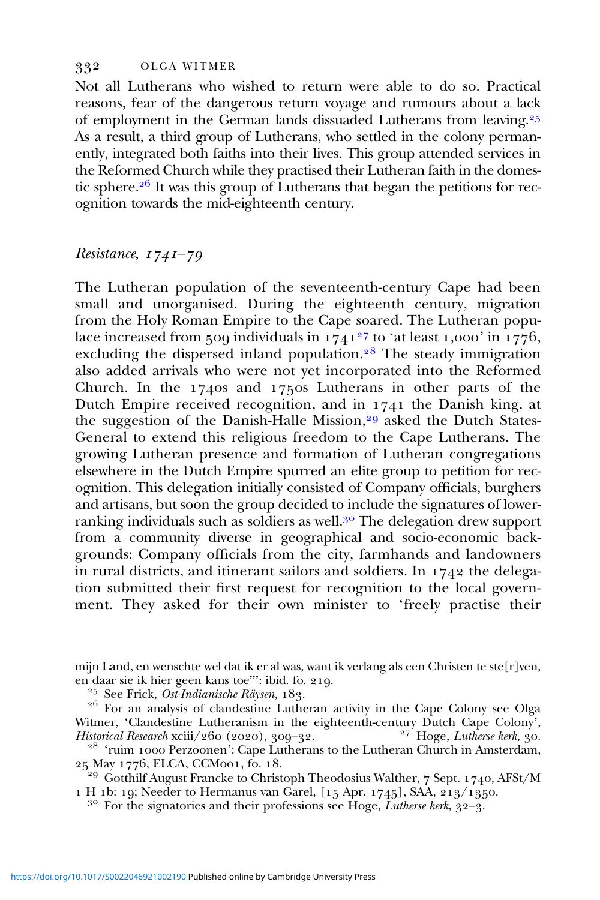Not all Lutherans who wished to return were able to do so. Practical reasons, fear of the dangerous return voyage and rumours about a lack of employment in the German lands dissuaded Lutherans from leaving. As a result, a third group of Lutherans, who settled in the colony permanently, integrated both faiths into their lives. This group attended services in the Reformed Church while they practised their Lutheran faith in the domestic sphere.<sup>26</sup> It was this group of Lutherans that began the petitions for recognition towards the mid-eighteenth century.

# $Resistance, 1741-79$

The Lutheran population of the seventeenth-century Cape had been small and unorganised. During the eighteenth century, migration from the Holy Roman Empire to the Cape soared. The Lutheran populace increased from 500 individuals in  $\frac{1}{1741^{27}}$  to 'at least 1,000' in  $\frac{1}{1776}$ , excluding the dispersed inland population.<sup>28</sup> The steady immigration also added arrivals who were not yet incorporated into the Reformed Church. In the 1740s and 1750s Lutherans in other parts of the Dutch Empire received recognition, and in  $1741$  the Danish king, at the suggestion of the Danish-Halle Mission,<sup>29</sup> asked the Dutch States-General to extend this religious freedom to the Cape Lutherans. The growing Lutheran presence and formation of Lutheran congregations elsewhere in the Dutch Empire spurred an elite group to petition for recognition. This delegation initially consisted of Company officials, burghers and artisans, but soon the group decided to include the signatures of lowerranking individuals such as soldiers as well.<sup>30</sup> The delegation drew support from a community diverse in geographical and socio-economic backgrounds: Company officials from the city, farmhands and landowners in rural districts, and itinerant sailors and soldiers. In  $1742$  the delegation submitted their first request for recognition to the local government. They asked for their own minister to 'freely practise their

mijn Land, en wenschte wel dat ik er al was, want ik verlang als een Christen te ste[r]ven,

<sup>25</sup> See Frick, *Ost-Indianische Räysen*, 183.<br><sup>26</sup> For an analysis of clandestine Lutheran activity in the Cape Colony see Olga Witmer, 'Clandestine Lutheranism in the eighteenth-century Dutch Cape Colony', *Historical Research* xciii/260 (2020), 309–32. <sup>27</sup> Hoge, *Lutherse kerk*, 30.

 $^{28}$  'ruim 1000 Perzoonen': Cape Lutherans to the Lutheran Church in Amsterdam,  $^{25}$  May 1776, ELCA, CCM001, fo. 18.

<sup>29</sup> Gotthilf August Francke to Christoph Theodosius Walther,  $7$  Sept. 1740, AFSt/M 1 H 1b: 19; Needer to Hermanus van Garel,  $[15$  Apr. 1745], SAA, 213/1350.<br><sup>30</sup> For the signatories and their professions see Hoge, *Lutherse kerk*, 32–3.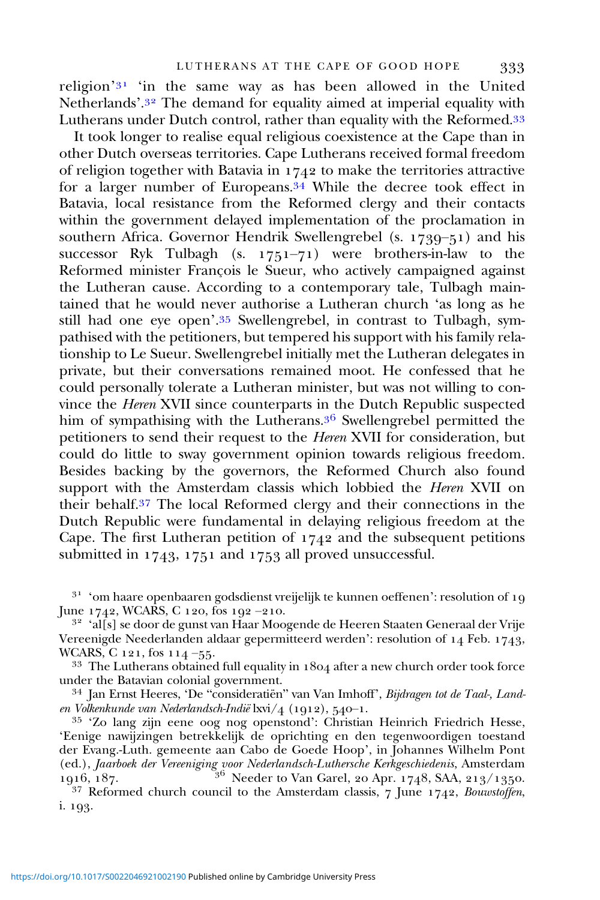religion' $31$  'in the same way as has been allowed in the United Netherlands'.<sup>32</sup> The demand for equality aimed at imperial equality with Lutherans under Dutch control, rather than equality with the Reformed.<sup>33</sup>

It took longer to realise equal religious coexistence at the Cape than in other Dutch overseas territories. Cape Lutherans received formal freedom of religion together with Batavia in  $1742$  to make the territories attractive for a larger number of Europeans. $34$  While the decree took effect in Batavia, local resistance from the Reformed clergy and their contacts within the government delayed implementation of the proclamation in southern Africa. Governor Hendrik Swellengrebel (s.  $1789-51$ ) and his successor Ryk Tulbagh (s.  $1751-71$ ) were brothers-in-law to the Reformed minister François le Sueur, who actively campaigned against the Lutheran cause. According to a contemporary tale, Tulbagh maintained that he would never authorise a Lutheran church 'as long as he still had one eye open'.<sup>35</sup> Swellengrebel, in contrast to Tulbagh, sympathised with the petitioners, but tempered his support with his family relationship to Le Sueur. Swellengrebel initially met the Lutheran delegates in private, but their conversations remained moot. He confessed that he could personally tolerate a Lutheran minister, but was not willing to convince the Heren XVII since counterparts in the Dutch Republic suspected him of sympathising with the Lutherans.<sup>36</sup> Swellengrebel permitted the petitioners to send their request to the Heren XVII for consideration, but could do little to sway government opinion towards religious freedom. Besides backing by the governors, the Reformed Church also found support with the Amsterdam classis which lobbied the *Heren* XVII on their behalf.<sup>37</sup> The local Reformed clergy and their connections in the Dutch Republic were fundamental in delaying religious freedom at the Cape. The first Lutheran petition of  $1742$  and the subsequent petitions submitted in  $1743$ ,  $1751$  and  $1753$  all proved unsuccessful.

<sup>31</sup> 'om haare openbaaren godsdienst vreijelijk te kunnen oeffenen': resolution of 19 June 1742, WCARS, C 120, fos 192 –210.

32 'al[s] se door de gunst van Haar Moogende de Heeren Staaten Generaal der Vrije Vereenigde Neederlanden aldaar gepermitteerd werden': resolution of  $14$  Feb. 1743, WCARS, C 121, fos 114 –55.

 $33$  The Lutherans obtained full equality in  $1804$  after a new church order took force under the Batavian colonial government.

<sup>34</sup> Jan Ernst Heeres, 'De "consideratiën" van Van Imhoff', *Bijdragen tot de Taal-, Land-*<br>en Volkenkunde van Nederlandsch-Indië  $lxy/4$  (1912), 540–1.

<sup>35</sup> 'Zo lang zijn eene oog nog openstond': Christian Heinrich Friedrich Hesse, 'Eenige nawijzingen betrekkelijk de oprichting en den tegenwoordigen toestand der Evang.-Luth. gemeente aan Cabo de Goede Hoop', in Johannes Wilhelm Pont (ed.), Jaarboek der Vereeniging voor Nederlandsch-Luthersche Kerkgeschiedenis, Amsterdam<br>1916, 187. – <sup>36</sup> Needer to Van Garel, 20 Apr. 1748, SAA, 213/1350.

<sup>37</sup> Reformed church council to the Amsterdam classis,  $7 \text{ June } 1742$ , Bouwstoffen, i. 193.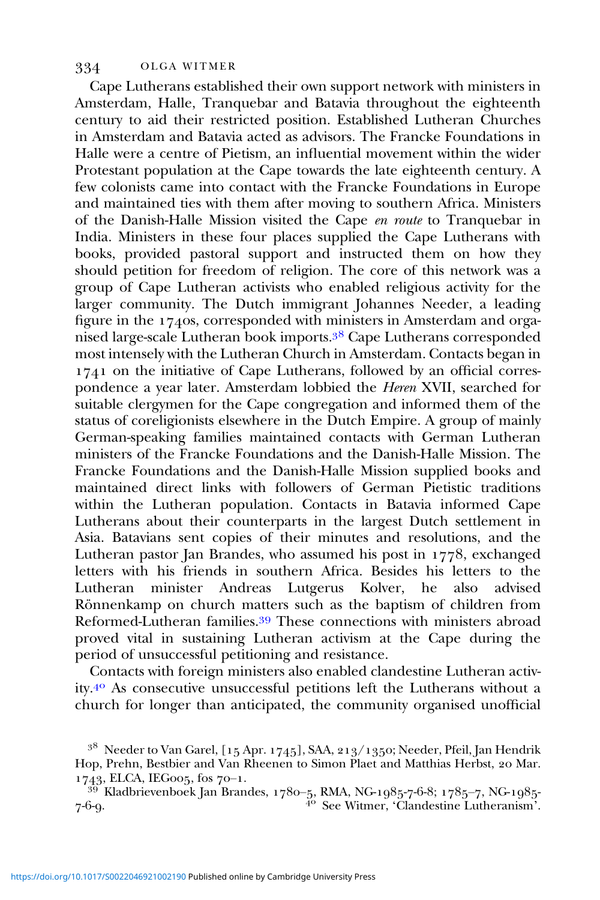Cape Lutherans established their own support network with ministers in Amsterdam, Halle, Tranquebar and Batavia throughout the eighteenth century to aid their restricted position. Established Lutheran Churches in Amsterdam and Batavia acted as advisors. The Francke Foundations in Halle were a centre of Pietism, an influential movement within the wider Protestant population at the Cape towards the late eighteenth century. A few colonists came into contact with the Francke Foundations in Europe and maintained ties with them after moving to southern Africa. Ministers of the Danish-Halle Mission visited the Cape en route to Tranquebar in India. Ministers in these four places supplied the Cape Lutherans with books, provided pastoral support and instructed them on how they should petition for freedom of religion. The core of this network was a group of Cape Lutheran activists who enabled religious activity for the larger community. The Dutch immigrant Johannes Needer, a leading figure in the  $1740s$ , corresponded with ministers in Amsterdam and organised large-scale Lutheran book imports.<sup>38</sup> Cape Lutherans corresponded most intensely with the Lutheran Church in Amsterdam. Contacts began in  $1741$  on the initiative of Cape Lutherans, followed by an official correspondence a year later. Amsterdam lobbied the Heren XVII, searched for suitable clergymen for the Cape congregation and informed them of the status of coreligionists elsewhere in the Dutch Empire. A group of mainly German-speaking families maintained contacts with German Lutheran ministers of the Francke Foundations and the Danish-Halle Mission. The Francke Foundations and the Danish-Halle Mission supplied books and maintained direct links with followers of German Pietistic traditions within the Lutheran population. Contacts in Batavia informed Cape Lutherans about their counterparts in the largest Dutch settlement in Asia. Batavians sent copies of their minutes and resolutions, and the Lutheran pastor Jan Brandes, who assumed his post in  $1778$ , exchanged letters with his friends in southern Africa. Besides his letters to the Lutheran minister Andreas Lutgerus Kolver, he also advised Rönnenkamp on church matters such as the baptism of children from Reformed-Lutheran families.<sup>39</sup> These connections with ministers abroad proved vital in sustaining Lutheran activism at the Cape during the period of unsuccessful petitioning and resistance.

Contacts with foreign ministers also enabled clandestine Lutheran activity.<sup>40</sup> As consecutive unsuccessful petitions left the Lutherans without a church for longer than anticipated, the community organised unofficial

 $^{38}\,$  Needer to Van Garel, [15 Apr. 1745], SAA, 213/1350; Needer, Pfeil, Jan Hendrik Hop, Prehn, Bestbier and Van Rheenen to Simon Plaet and Matthias Herbst, 20 Mar.  $1743$ , ELCA, IEGoos, fos 70–1.

 $^{39}$  Kladbrievenboek Jan Brandes, 1780-5, RMA, NG-1985-7-6-8; 1785-7, NG-1985-7-6-9. The set of the See Witmer, 'Clandestine Lutheranism'.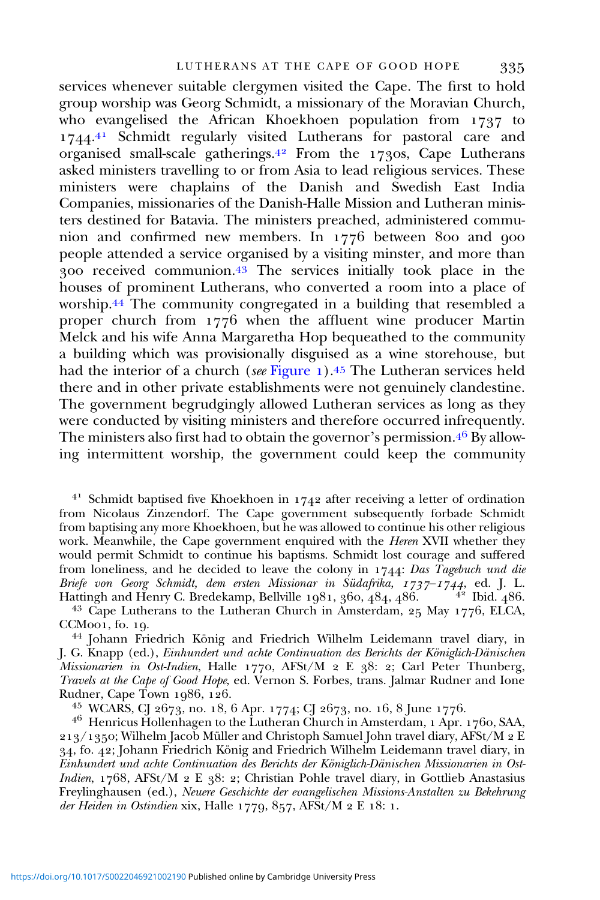services whenever suitable clergymen visited the Cape. The first to hold group worship was Georg Schmidt, a missionary of the Moravian Church, who evangelised the African Khoekhoen population from  $1737$  to 1744.<sup>41</sup> Schmidt regularly visited Lutherans for pastoral care and organised small-scale gatherings.<sup>42</sup> From the 1730s, Cape Lutherans asked ministers travelling to or from Asia to lead religious services. These ministers were chaplains of the Danish and Swedish East India Companies, missionaries of the Danish-Halle Mission and Lutheran ministers destined for Batavia. The ministers preached, administered communion and confirmed new members. In  $1776$  between 800 and 900 people attended a service organised by a visiting minster, and more than  $\frac{1}{200}$  received communion. <sup>43</sup> The services initially took place in the houses of prominent Lutherans, who converted a room into a place of worship.<sup>44</sup> The community congregated in a building that resembled a proper church from  $1776$  when the affluent wine producer Martin Melck and his wife Anna Margaretha Hop bequeathed to the community a building which was provisionally disguised as a wine storehouse, but had the interior of a church (see [Figure](#page-10-0)  $_1$ ).<sup>45</sup> The Lutheran services held there and in other private establishments were not genuinely clandestine. The government begrudgingly allowed Lutheran services as long as they were conducted by visiting ministers and therefore occurred infrequently. The ministers also first had to obtain the governor's permission.  $4^6$  By allowing intermittent worship, the government could keep the community

 $4<sup>1</sup>$  Schmidt baptised five Khoekhoen in 1742 after receiving a letter of ordination from Nicolaus Zinzendorf. The Cape government subsequently forbade Schmidt from baptising any more Khoekhoen, but he was allowed to continue his other religious work. Meanwhile, the Cape government enquired with the Heren XVII whether they would permit Schmidt to continue his baptisms. Schmidt lost courage and suffered from loneliness, and he decided to leave the colony in  $1744$ : Das Tagebuch und die Briefe von Georg Schmidt, dem ersten Missionar in Südafrika,  $1737-1744$ , ed. J. L. Hattingh and Henry C. Bredekamp, Bellville 1981, 360, 484, 486. <sup>42</sup> Ibid. 486. Hattingh and Henry C. Bredekamp, Bellville 1981, 360,  $484$ ,  $486$ .  $4^{2}$  Ibid.  $486$ .<br><sup>43</sup> Cape Lutherans to the Lutheran Church in Amsterdam, 25 May 1776, ELCA,

CCM001, fo. 19.<br><sup>44</sup> Johann Friedrich König and Friedrich Wilhelm Leidemann travel diary, in

J. G. Knapp (ed.), Einhundert und achte Continuation des Berichts der Königlich-Dänischen Missionarien in Ost-Indien, Halle 1770, AFSt/M 2 E 38: 2; Carl Peter Thunberg, Travels at the Cape of Good Hope, ed. Vernon S. Forbes, trans. Jalmar Rudner and Ione

<sup>45</sup> WCARS, CJ 2673, no. 18, 6 Apr. 1774; CJ 2673, no. 16, 8 June 1776.<br><sup>46</sup> Henricus Hollenhagen to the Lutheran Church in Amsterdam, 1 Apr. 1760, SAA, 213/1350; Wilhelm Jacob Müller and Christoph Samuel John travel diary, AFSt/M 2 E 34, fo. 42; Johann Friedrich König and Friedrich Wilhelm Leidemann travel diary, in Einhundert und achte Continuation des Berichts der Königlich-Dänischen Missionarien in Ost-Indien,  $1768$ , AFSt/M  $2$  E  $38:2$ ; Christian Pohle travel diary, in Gottlieb Anastasius Freylinghausen (ed.), Neuere Geschichte der evangelischen Missions-Anstalten zu Bekehrung der Heiden in Ostindien xix, Halle  $1779, 857$ , AFSt/M  $2 E 18$ : 1.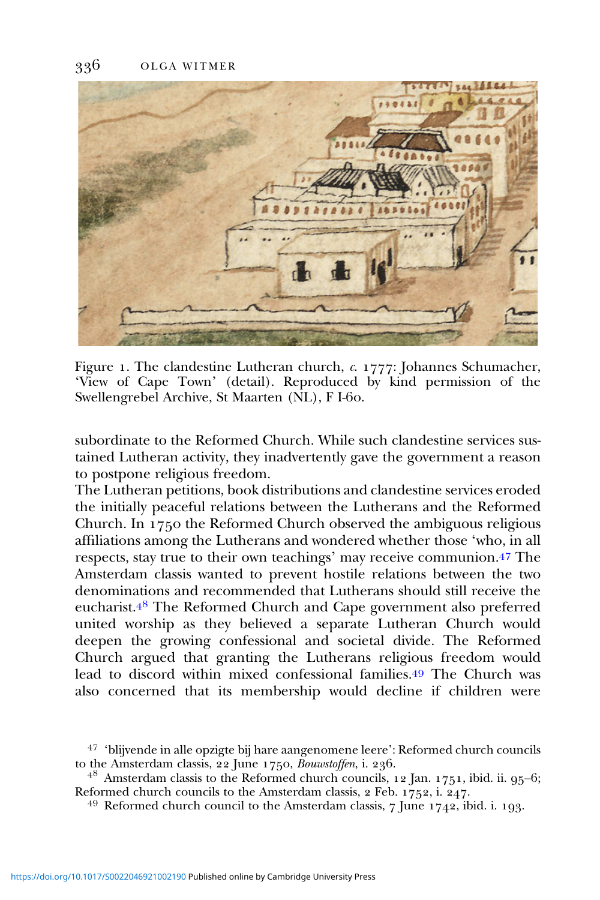<span id="page-10-0"></span>

Figure 1. The clandestine Lutheran church,  $c$ .  $1777$ : Johannes Schumacher, 'View of Cape Town' (detail). Reproduced by kind permission of the Swellengrebel Archive, St Maarten (NL), F I-60.

subordinate to the Reformed Church. While such clandestine services sustained Lutheran activity, they inadvertently gave the government a reason to postpone religious freedom.

The Lutheran petitions, book distributions and clandestine services eroded the initially peaceful relations between the Lutherans and the Reformed Church. In  $1750$  the Reformed Church observed the ambiguous religious affiliations among the Lutherans and wondered whether those 'who, in all respects, stay true to their own teachings' may receive communion.<sup>47</sup> The Amsterdam classis wanted to prevent hostile relations between the two denominations and recommended that Lutherans should still receive the eucharist.<sup>48</sup> The Reformed Church and Cape government also preferred united worship as they believed a separate Lutheran Church would deepen the growing confessional and societal divide. The Reformed Church argued that granting the Lutherans religious freedom would lead to discord within mixed confessional families.<sup>49</sup> The Church was also concerned that its membership would decline if children were

<sup>&</sup>lt;sup>47</sup> 'blijvende in alle opzigte bij hare aangenomene leere': Reformed church councils to the Amsterdam classis, 22 June 1750, *Bouwstoffen*, i. 236.

<sup>&</sup>lt;sup>48</sup> Amsterdam classis to the Reformed church councils, 12 Jan. 1751, ibid. ii. 95–6; Reformed church councils to the Amsterdam classis, 2 Feb. 1752, i. 247.

<sup>&</sup>lt;sup>49</sup> Reformed church council to the Amsterdam classis,  $\frac{7}{1}$  [une  $\frac{1742}{1742}$ , ibid. i. 193.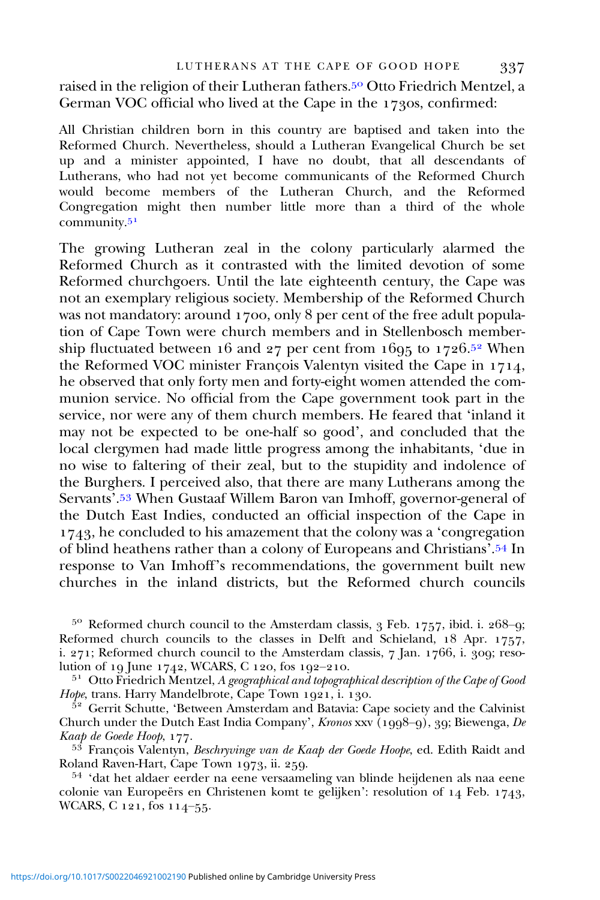raised in the religion of their Lutheran fathers.<sup>50</sup> Otto Friedrich Mentzel, a German VOC official who lived at the Cape in the 1730s, confirmed:

All Christian children born in this country are baptised and taken into the Reformed Church. Nevertheless, should a Lutheran Evangelical Church be set up and a minister appointed, I have no doubt, that all descendants of Lutherans, who had not yet become communicants of the Reformed Church would become members of the Lutheran Church, and the Reformed Congregation might then number little more than a third of the whole community.

The growing Lutheran zeal in the colony particularly alarmed the Reformed Church as it contrasted with the limited devotion of some Reformed churchgoers. Until the late eighteenth century, the Cape was not an exemplary religious society. Membership of the Reformed Church was not mandatory: around 1700, only 8 per cent of the free adult population of Cape Town were church members and in Stellenbosch membership fluctuated between 16 and 27 per cent from 1695 to 1726.<sup>52</sup> When the Reformed VOC minister François Valentyn visited the Cape in 1714, he observed that only forty men and forty-eight women attended the communion service. No official from the Cape government took part in the service, nor were any of them church members. He feared that 'inland it may not be expected to be one-half so good', and concluded that the local clergymen had made little progress among the inhabitants, 'due in no wise to faltering of their zeal, but to the stupidity and indolence of the Burghers. I perceived also, that there are many Lutherans among the Servants'.<sup>53</sup> When Gustaaf Willem Baron van Imhoff, governor-general of the Dutch East Indies, conducted an official inspection of the Cape in  $1743$ , he concluded to his amazement that the colony was a 'congregation' of blind heathens rather than a colony of Europeans and Christians'.<sup>54</sup> In response to Van Imhoff's recommendations, the government built new churches in the inland districts, but the Reformed church councils

 $5^{\circ}$  Reformed church council to the Amsterdam classis, 3 Feb. 1757, ibid. i. 268-9; Reformed church councils to the classes in Delft and Schieland,  $18$  Apr.  $1757$ , i.  $271$ ; Reformed church council to the Amsterdam classis, 7 Jan. 1766, i. 309; reso-<br>lution of 19 June 1742, WCARS, C 120, fos 192–210.

 $^{51}$  Otto Friedrich Mentzel, A geographical and topographical description of the Cape of Good Hope, trans. Harry Mandelbrote, Cape Town 1921, i. 130.

 $\frac{5^2}{ }$  Gerrit Schutte, 'Between Amsterdam and Batavia: Cape society and the Calvinist Church under the Dutch East India Company', Kronos xxv  $(1998-9)$ , 39; Biewenga, De

Kaap de Goede Hoop, 177.<br><sup>53</sup> François Valentyn, *Beschryvinge van de Kaap der Goede Hoope*, ed. Edith Raidt and<br>Roland Raven-Hart, Cape Town 1973, ii. 259.

<sup>54</sup> 'dat het aldaer eerder na eene versaameling van blinde heijdenen als naa eene colonie van Europeërs en Christenen komt te gelijken': resolution of  $14$  Feb. 1743, WCARS, C  $121$ , fos  $114-55$ .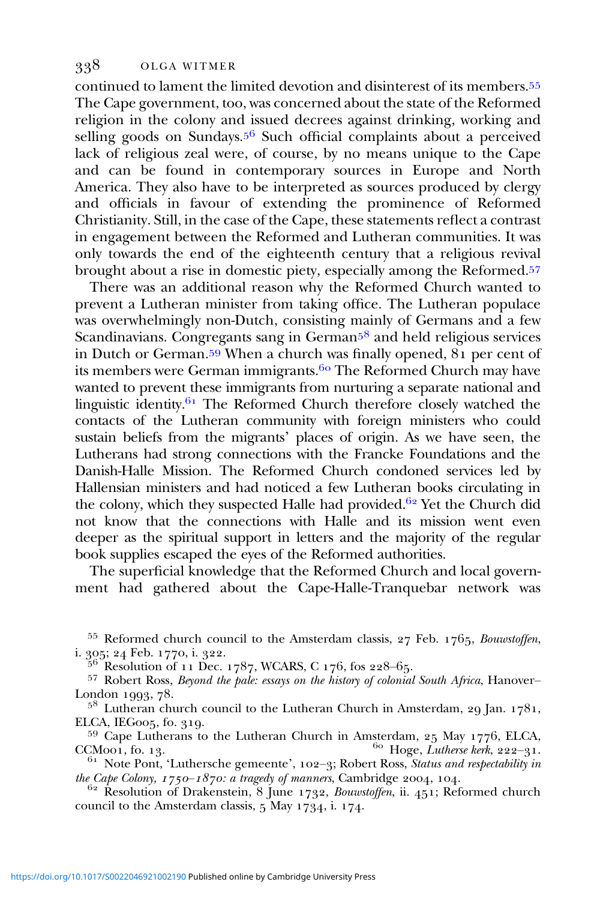continued to lament the limited devotion and disinterest of its members. The Cape government, too, was concerned about the state of the Reformed religion in the colony and issued decrees against drinking, working and selling goods on Sundays.<sup>56</sup> Such official complaints about a perceived lack of religious zeal were, of course, by no means unique to the Cape and can be found in contemporary sources in Europe and North America. They also have to be interpreted as sources produced by clergy and officials in favour of extending the prominence of Reformed Christianity. Still, in the case of the Cape, these statements reflect a contrast in engagement between the Reformed and Lutheran communities. It was only towards the end of the eighteenth century that a religious revival brought about a rise in domestic piety, especially among the Reformed.<sup>57</sup>

There was an additional reason why the Reformed Church wanted to prevent a Lutheran minister from taking office. The Lutheran populace was overwhelmingly non-Dutch, consisting mainly of Germans and a few Scandinavians. Congregants sang in German<sup> $58$ </sup> and held religious services in Dutch or German.<sup>59</sup> When a church was finally opened,  $\overline{81}$  per cent of its members were German immigrants.<sup>60</sup> The Reformed Church may have wanted to prevent these immigrants from nurturing a separate national and linguistic identity. $61$  The Reformed Church therefore closely watched the contacts of the Lutheran community with foreign ministers who could sustain beliefs from the migrants' places of origin. As we have seen, the Lutherans had strong connections with the Francke Foundations and the Danish-Halle Mission. The Reformed Church condoned services led by Hallensian ministers and had noticed a few Lutheran books circulating in the colony, which they suspected Halle had provided.<sup>62</sup> Yet the Church did not know that the connections with Halle and its mission went even deeper as the spiritual support in letters and the majority of the regular book supplies escaped the eyes of the Reformed authorities.

The superficial knowledge that the Reformed Church and local government had gathered about the Cape-Halle-Tranquebar network was

<sup>55</sup> Reformed church council to the Amsterdam classis,  $27$  Feb.  $1765$ , *Bouwstoffen*, i. 305;  $24$  Feb. 1770, i. 322.

<sup>56</sup> Resolution of 11 Dec. 1787, WCARS, C 176, fos 228–65.<br><sup>57</sup> Robert Ross, *Beyond the pale: essays on the history of colonial South Africa*, Hanover–<br>London 1993, 78.

 $5^8$  Lutheran church council to the Lutheran Church in Amsterdam, 29 Jan. 1781,

ELCA, IEG005, fo. 319.<br><sup>59</sup> Cape Lutherans to the Lutheran Church in Amsterdam, 25 May 1776, ELCA, CCM001, fo. 13.<br><sup>60</sup> Hoge, *Lutherse kerk*, 222–31.

<sup>61</sup> Note Pont, 'Luthersche gemeente', 102–3; Robert Ross, *Status and respectability in the Cape Colony*,  $1750-1870$ : *a tragedy of manners*, Cambridge 2004, 104.

 $t_{\text{P}}$  Resolution of Drakenstein,  $8$  June 1732, Bouwstoffen, ii.  $451$ ; Reformed church council to the Amsterdam classis,  $5$  May  $1734$ , i.  $174$ .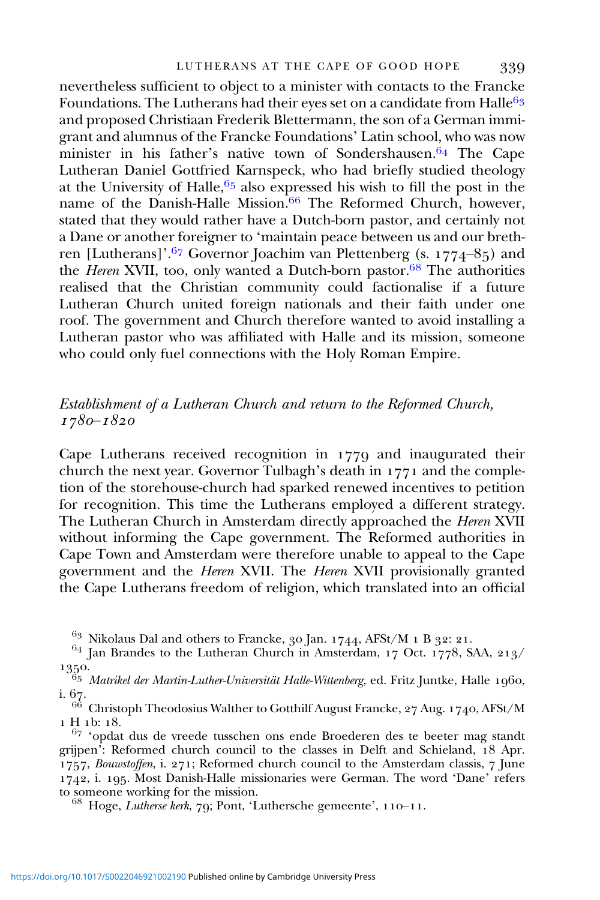nevertheless sufficient to object to a minister with contacts to the Francke Foundations. The Lutherans had their eyes set on a candidate from Halle<sup>63</sup> and proposed Christiaan Frederik Blettermann, the son of a German immigrant and alumnus of the Francke Foundations' Latin school, who was now minister in his father's native town of Sondershausen.<sup>64</sup> The Cape Lutheran Daniel Gottfried Karnspeck, who had briefly studied theology at the University of Halle,  $65$  also expressed his wish to fill the post in the name of the Danish-Halle Mission.<sup>66</sup> The Reformed Church, however, stated that they would rather have a Dutch-born pastor, and certainly not a Dane or another foreigner to 'maintain peace between us and our brethren [Lutherans]'.<sup>67</sup> Governor Joachim van Plettenberg (s. 1774–85) and the *Heren* XVII, too, only wanted a Dutch-born pastor.<sup>68</sup> The authorities realised that the Christian community could factionalise if a future Lutheran Church united foreign nationals and their faith under one roof. The government and Church therefore wanted to avoid installing a Lutheran pastor who was affiliated with Halle and its mission, someone who could only fuel connections with the Holy Roman Empire.

# Establishment of a Lutheran Church and return to the Reformed Church,  $1780 - 1820$

Cape Lutherans received recognition in  $1779$  and inaugurated their church the next year. Governor Tulbagh's death in  $1771$  and the completion of the storehouse-church had sparked renewed incentives to petition for recognition. This time the Lutherans employed a different strategy. The Lutheran Church in Amsterdam directly approached the Heren XVII without informing the Cape government. The Reformed authorities in Cape Town and Amsterdam were therefore unable to appeal to the Cape government and the Heren XVII. The Heren XVII provisionally granted the Cape Lutherans freedom of religion, which translated into an official

<sup>&</sup>lt;sup>63</sup> Nikolaus Dal and others to Francke, 30 Jan. 1744, AFSt/M 1 B 32: 21.<br><sup>64</sup> Jan Brandes to the Lutheran Church in Amsterdam, 17 Oct. 1778, SAA, 213/

<sup>1350.&</sup>lt;br><sup>65</sup> Matrikel der Martin-Luther-Universität Halle-Wittenberg, ed. Fritz Juntke, Halle 1960, i. 67.

 $\frac{66}{1}$  Christoph Theodosius Walther to Gotthilf August Francke, 27 Aug. 1740, AFSt/M<br>1 H 1b: 18.

 $67$  'opdat dus de vreede tusschen ons ende Broederen des te beeter mag standt grijpen': Reformed church council to the classes in Delft and Schieland, 18 Apr. 1757, Bouwstoffen, i.  $271$ ; Reformed church council to the Amsterdam classis, 7 June  $1742$ , i. 195. Most Danish-Halle missionaries were German. The word 'Dane' refers to someone working for the mission.

 $^{68}$  Hoge, Lutherse kerk, 79; Pont, 'Luthersche gemeente', 110-11.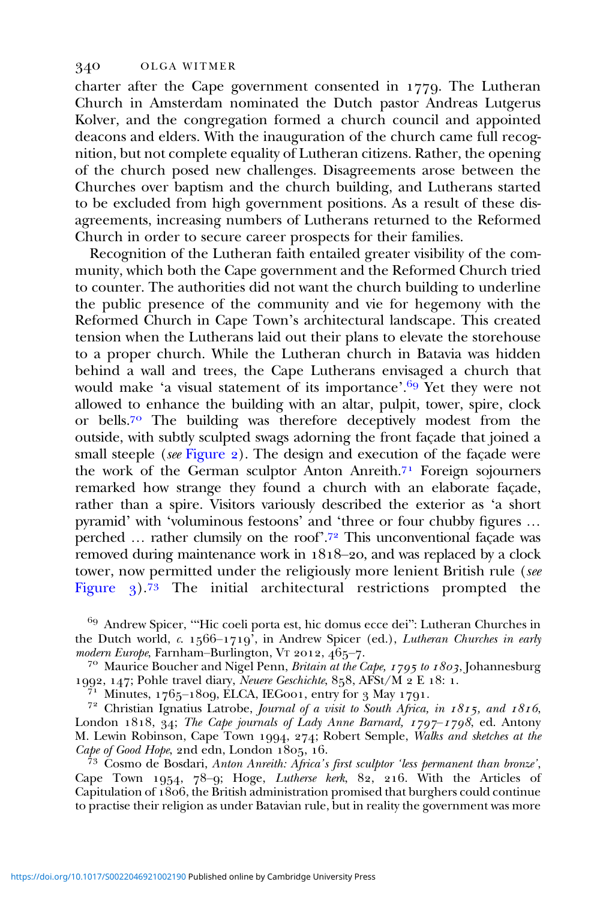charter after the Cape government consented in  $1779$ . The Lutheran Church in Amsterdam nominated the Dutch pastor Andreas Lutgerus Kolver, and the congregation formed a church council and appointed deacons and elders. With the inauguration of the church came full recognition, but not complete equality of Lutheran citizens. Rather, the opening of the church posed new challenges. Disagreements arose between the Churches over baptism and the church building, and Lutherans started to be excluded from high government positions. As a result of these disagreements, increasing numbers of Lutherans returned to the Reformed Church in order to secure career prospects for their families.

Recognition of the Lutheran faith entailed greater visibility of the community, which both the Cape government and the Reformed Church tried to counter. The authorities did not want the church building to underline the public presence of the community and vie for hegemony with the Reformed Church in Cape Town's architectural landscape. This created tension when the Lutherans laid out their plans to elevate the storehouse to a proper church. While the Lutheran church in Batavia was hidden behind a wall and trees, the Cape Lutherans envisaged a church that would make 'a visual statement of its importance'.<sup>69</sup> Yet they were not allowed to enhance the building with an altar, pulpit, tower, spire, clock or bells.<sup>70</sup> The building was therefore deceptively modest from the outside, with subtly sculpted swags adorning the front façade that joined a small steeple (see [Figure](#page-15-0)  $_2$ ). The design and execution of the façade were the work of the German sculptor Anton Anreith.<sup>71</sup> Foreign sojourners remarked how strange they found a church with an elaborate façade, rather than a spire. Visitors variously described the exterior as 'a short pyramid' with 'voluminous festoons' and 'three or four chubby figures … perched ... rather clumsily on the roof'.<sup>72</sup> This unconventional façade was removed during maintenance work in  $1818-20$ , and was replaced by a clock tower, now permitted under the religiously more lenient British rule (see [Figure](#page-16-0)  $\frac{1}{3}$ . The initial architectural restrictions prompted the

<sup>69</sup> Andrew Spicer, "Hic coeli porta est, hic domus ecce dei": Lutheran Churches in the Dutch world, c.  $1566-1719^7$ , in Andrew Spicer (ed.), *Lutheran Churches in early modern Europe*, Farnham–Burlington, Vr 2012,  $465-7$ .

modern Europe, Farnham–Burlington, Britain at the Cape,  $1795$  to  $1803$ , Johannesburg 1992, 147; Pohle travel diary, *Neuere Geschichte*, 858, AFSt/M 2 E 18: 1.

 $\frac{7}{11}$  Minutes, 1765–1809, ELCA, IEGoo1, entry for 3 May 1791.<br><sup>72</sup> Christian Ignatius Latrobe, *Journal of a visit to South Africa, in 1815, and 1816*, London 1818, 34; The Cape journals of Lady Anne Barnard,  $1797-1798$ , ed. Antony M. Lewin Robinson, Cape Town 1994, 274; Robert Semple, Walks and sketches at the Cape of Good Hope, 2nd edn, London 1805, 16.

 $\hat{7}^3$  Cosmo de Bosdari, Anton Anreith: Africa's first sculptor 'less permanent than bronze', Cape Town 1954,  $78-9$ ; Hoge, Lutherse kerk,  $82$ , 216. With the Articles of Capitulation of  $1806$ , the British administration promised that burghers could continue to practise their religion as under Batavian rule, but in reality the government was more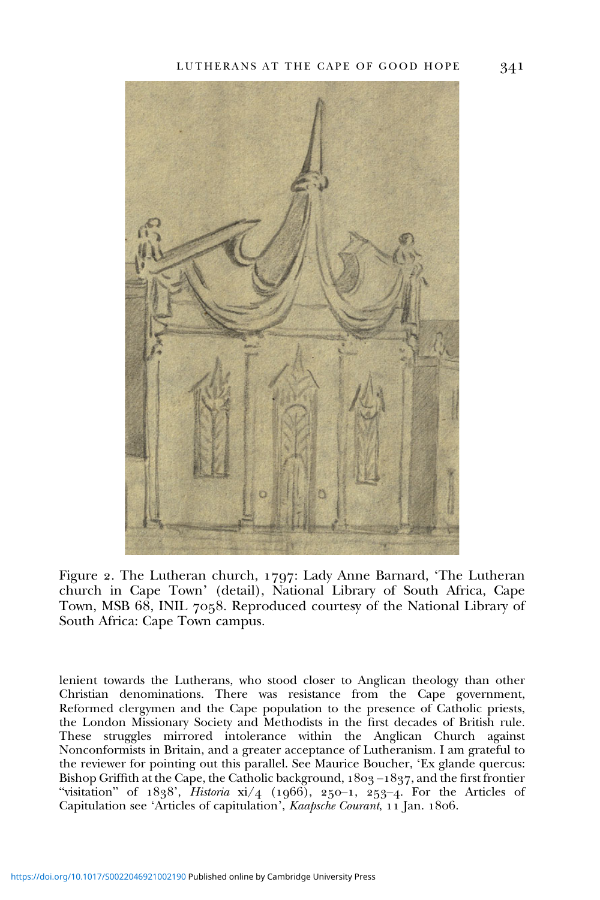<span id="page-15-0"></span>

Figure 2. The Lutheran church, 1797: Lady Anne Barnard, 'The Lutheran church in Cape Town' (detail), National Library of South Africa, Cape Town, MSB 68, INIL 7058. Reproduced courtesy of the National Library of South Africa: Cape Town campus.

lenient towards the Lutherans, who stood closer to Anglican theology than other Christian denominations. There was resistance from the Cape government, Reformed clergymen and the Cape population to the presence of Catholic priests, the London Missionary Society and Methodists in the first decades of British rule. These struggles mirrored intolerance within the Anglican Church against Nonconformists in Britain, and a greater acceptance of Lutheranism. I am grateful to the reviewer for pointing out this parallel. See Maurice Boucher, 'Ex glande quercus: Bishop Griffith at the Cape, the Catholic background,  $1803 - 1837$ , and the first frontier "visitation" of  $1838'$ , Historia  $xi/4$  (1966), 250-1, 253-4. For the Articles of Capitulation see 'Articles of capitulation', Kaapsche Courant, 11 Jan. 1806.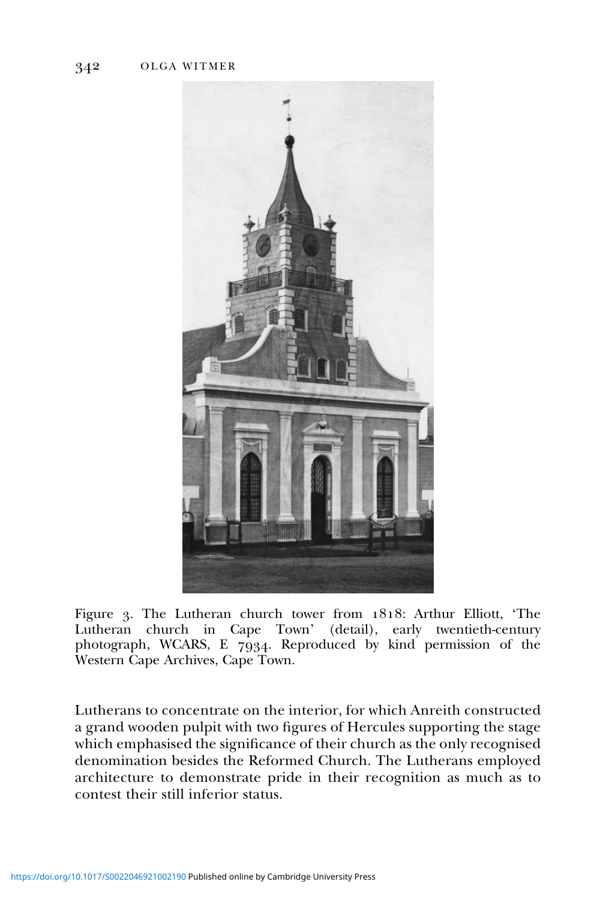<span id="page-16-0"></span>

Figure 3. The Lutheran church tower from 1818: Arthur Elliott, 'The Lutheran church in Cape Town' (detail), early twentieth-century photograph, WCARS, E 7934. Reproduced by kind permission of the Western Cape Archives, Cape Town.

Lutherans to concentrate on the interior, for which Anreith constructed a grand wooden pulpit with two figures of Hercules supporting the stage which emphasised the significance of their church as the only recognised denomination besides the Reformed Church. The Lutherans employed architecture to demonstrate pride in their recognition as much as to contest their still inferior status.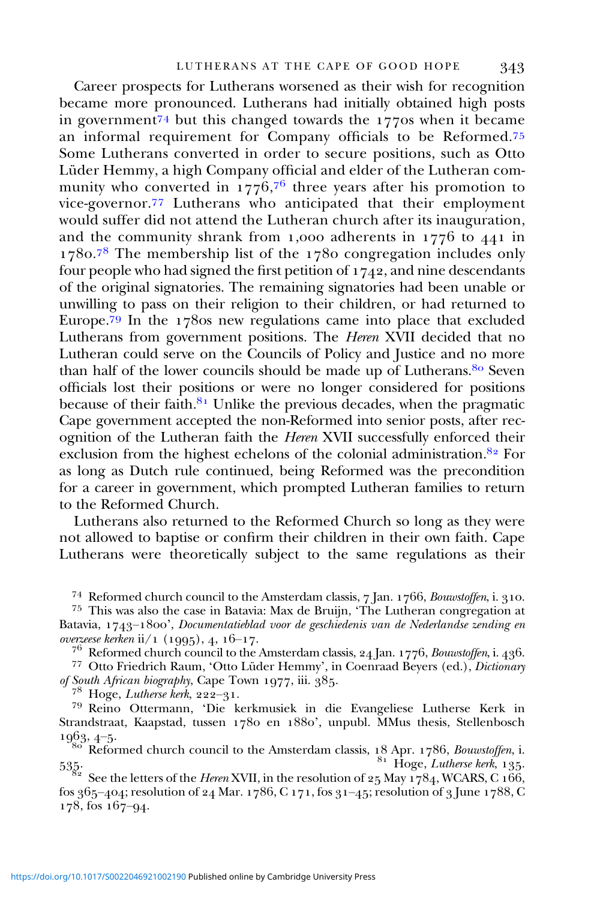Career prospects for Lutherans worsened as their wish for recognition became more pronounced. Lutherans had initially obtained high posts in government<sup>74</sup> but this changed towards the  $177$  os when it became an informal requirement for Company officials to be Reformed.<sup>75</sup> Some Lutherans converted in order to secure positions, such as Otto Lüder Hemmy, a high Company official and elder of the Lutheran community who converted in 1776, $^{76}$  three years after his promotion to vice-governor.<sup>77</sup> Lutherans who anticipated that their employment would suffer did not attend the Lutheran church after its inauguration, and the community shrank from 1,000 adherents in  $1776$  to  $441$  in 1780.78 The membership list of the 1780 congregation includes only four people who had signed the first petition of  $1742$ , and nine descendants of the original signatories. The remaining signatories had been unable or unwilling to pass on their religion to their children, or had returned to Europe.<sup>79</sup> In the 1780s new regulations came into place that excluded Lutherans from government positions. The Heren XVII decided that no Lutheran could serve on the Councils of Policy and Justice and no more than half of the lower councils should be made up of Lutherans.<sup>80</sup> Seven officials lost their positions or were no longer considered for positions because of their faith. $8<sup>1</sup>$  Unlike the previous decades, when the pragmatic Cape government accepted the non-Reformed into senior posts, after recognition of the Lutheran faith the Heren XVII successfully enforced their exclusion from the highest echelons of the colonial administration.<sup>82</sup> For as long as Dutch rule continued, being Reformed was the precondition for a career in government, which prompted Lutheran families to return to the Reformed Church.

Lutherans also returned to the Reformed Church so long as they were not allowed to baptise or confirm their children in their own faith. Cape Lutherans were theoretically subject to the same regulations as their

<sup>74</sup> Reformed church council to the Amsterdam classis,  $7 \text{ Jan. } 1766$ , *Bouwstoffen*, i. 310.<br><sup>75</sup> This was also the case in Batavia: Max de Bruijn, 'The Lutheran congregation at

Batavia, 1743–1800', Documentatieblad voor de geschiedenis van de Nederlandse zending en overzeese kerken ii/1 (1995), 4, 16–17.

<sup>76</sup> Reformed church council to the Amsterdam classis,  $24$  Jan.  $1776$ , *Bouwstoffen*, i.  $436$ .<br><sup>77</sup> Otto Friedrich Raum, 'Otto Lüder Hemmy', in Coenraad Beyers (ed.), *Dictionary* of *South African biography*, Cape Tow

<sup>78</sup> Hoge, *Lutherse kerk*, 222–31.<br><sup>79</sup> Reino Ottermann, 'Die kerkmusiek in die Evangeliese Lutherse Kerk in Strandstraat, Kaapstad, tussen 1780 en 1880', unpubl. MMus thesis, Stellenbosch 1963,  $4-5$ .

 $\frac{R_{\rm SO}}{80}$  Reformed church council to the Amsterdam classis, 18 Apr. 1786, *Bouwstoffen*, i.<br>85. Hoge, *Lutherse kerk*, 135.

535. See the letters of the *Heren* XVII, in the resolution of  $25$  May  $1784$ , WCARS, C  $166$ ,  $\frac{166}{1788}$ , C fos 365-404; resolution of 24 Mar. 1786, C 171, fos 31-45; resolution of 3 June 1788, C  $178$ , fos  $167-94$ .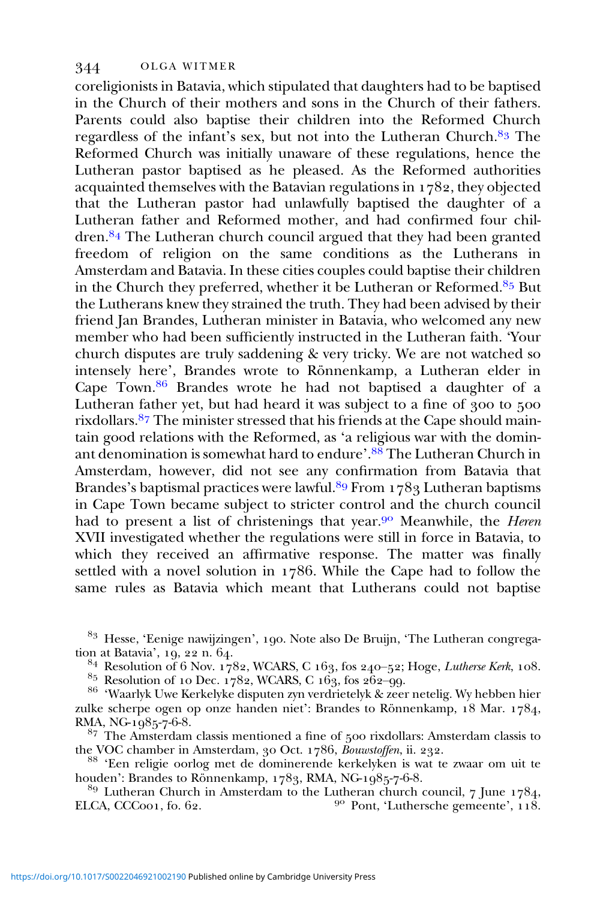coreligionists in Batavia, which stipulated that daughters had to be baptised in the Church of their mothers and sons in the Church of their fathers. Parents could also baptise their children into the Reformed Church regardless of the infant's sex, but not into the Lutheran Church. $8<sup>3</sup>$  The Reformed Church was initially unaware of these regulations, hence the Lutheran pastor baptised as he pleased. As the Reformed authorities acquainted themselves with the Batavian regulations in  $1782$ , they objected that the Lutheran pastor had unlawfully baptised the daughter of a Lutheran father and Reformed mother, and had confirmed four children.<sup>84</sup> The Lutheran church council argued that they had been granted freedom of religion on the same conditions as the Lutherans in Amsterdam and Batavia. In these cities couples could baptise their children in the Church they preferred, whether it be Lutheran or Reformed.<sup>85</sup> But the Lutherans knew they strained the truth. They had been advised by their friend Jan Brandes, Lutheran minister in Batavia, who welcomed any new member who had been sufficiently instructed in the Lutheran faith. 'Your church disputes are truly saddening & very tricky. We are not watched so intensely here', Brandes wrote to Rönnenkamp, a Lutheran elder in Cape Town.  $86$  Brandes wrote he had not baptised a daughter of a Lutheran father yet, but had heard it was subject to a fine of  $\frac{900}{100}$  to  $\frac{500}{100}$ rixdollars.<sup>87</sup> The minister stressed that his friends at the Cape should maintain good relations with the Reformed, as 'a religious war with the dominant denomination is somewhat hard to endure'.<sup>88</sup> The Lutheran Church in Amsterdam, however, did not see any confirmation from Batavia that Brandes's baptismal practices were lawful.<sup>89</sup> From  $1789$  Lutheran baptisms in Cape Town became subject to stricter control and the church council had to present a list of christenings that year.<sup>90</sup> Meanwhile, the *Heren* XVII investigated whether the regulations were still in force in Batavia, to which they received an affirmative response. The matter was finally settled with a novel solution in 1786. While the Cape had to follow the same rules as Batavia which meant that Lutherans could not baptise

<sup>83</sup> Hesse, 'Eenige nawijzingen', 190. Note also De Bruijn, 'The Lutheran congregation at Batavia', 19, 22 n.  $64$ .

<sup>84</sup> Resolution of 6 Nov. 1782, WCARS, C 163, fos 240–52; Hoge, *Lutherse Kerk*, 108.<br><sup>85</sup> Resolution of 10 Dec. 1782, WCARS, C 163, fos 262–99.<br><sup>86</sup> 'Waarlyk Uwe Kerkelyke disputen zyn verdrietelyk & zeer netelig. Wy heb zulke scherpe ogen op onze handen niet': Brandes to Rönnenkamp,  $18$  Mar.  $1784$ , RMA, NG- $1985-7-6-8$ .

 $87$  The Amsterdam classis mentioned a fine of  $500$  rixdollars: Amsterdam classis to

the VOC chamber in Amsterdam, 30 Oct. 1786, Bouwstoffen, ii. 232.<br><sup>88</sup> 'Een religie oorlog met de dominerende kerkelyken is wat te zwaar om uit te houden': Brandes to Rönnenkamp, 1783, RMA, NG-1985-7-6-8.

<sup>89</sup> Lutheran Church in Amsterdam to the Lutheran church council, 7 June 1784, ELCA, CCC<sub>001</sub>, fo. 62.  $\frac{90 \text{ Pont}}{118}$ , 'Luthersche gemeente', 118.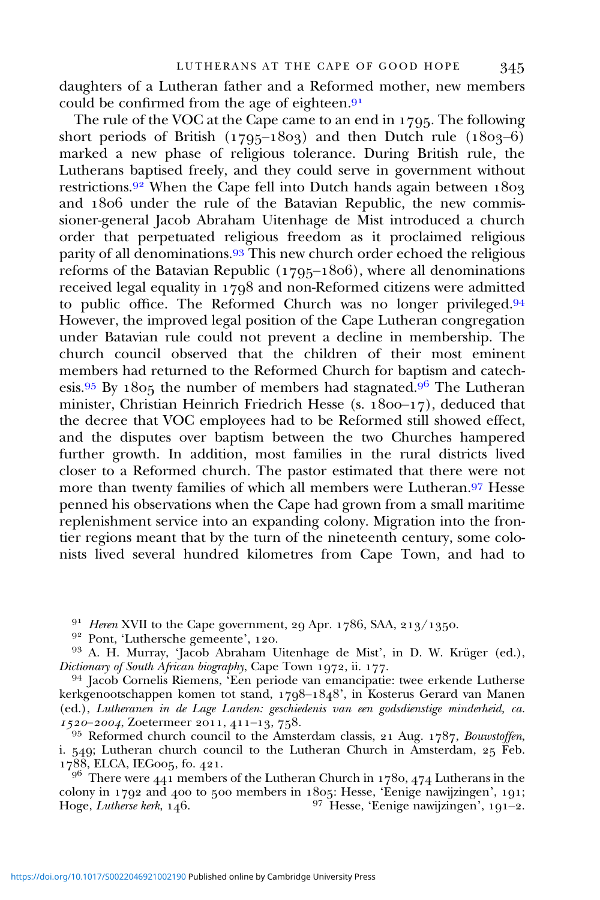daughters of a Lutheran father and a Reformed mother, new members could be confirmed from the age of eighteen. $9<sup>1</sup>$ 

The rule of the VOC at the Cape came to an end in 1795. The following short periods of British ( $1795-1803$ ) and then Dutch rule ( $1803-6$ ) marked a new phase of religious tolerance. During British rule, the Lutherans baptised freely, and they could serve in government without restrictions.<sup>92</sup> When the Cape fell into Dutch hands again between  $1803$ and 1806 under the rule of the Batavian Republic, the new commissioner-general Jacob Abraham Uitenhage de Mist introduced a church order that perpetuated religious freedom as it proclaimed religious parity of all denominations.<sup>93</sup> This new church order echoed the religious reforms of the Batavian Republic ( $1795-1806$ ), where all denominations received legal equality in  $1798$  and non-Reformed citizens were admitted to public office. The Reformed Church was no longer privileged.<sup>94</sup> However, the improved legal position of the Cape Lutheran congregation under Batavian rule could not prevent a decline in membership. The church council observed that the children of their most eminent members had returned to the Reformed Church for baptism and catechesis. 95 By 1805 the number of members had stagnated.  $96$  The Lutheran minister, Christian Heinrich Friedrich Hesse (s.  $1800-17$ ), deduced that the decree that VOC employees had to be Reformed still showed effect, and the disputes over baptism between the two Churches hampered further growth. In addition, most families in the rural districts lived closer to a Reformed church. The pastor estimated that there were not more than twenty families of which all members were Lutheran.<sup>97</sup> Hesse penned his observations when the Cape had grown from a small maritime replenishment service into an expanding colony. Migration into the frontier regions meant that by the turn of the nineteenth century, some colonists lived several hundred kilometres from Cape Town, and had to

<sup>91</sup> Heren XVII to the Cape government, 29 Apr. 1786, SAA, 213/1350.<br><sup>92</sup> Pont, 'Luthersche gemeente', 120.<br><sup>93</sup> A. H. Murray, 'Jacob Abraham Uitenhage de Mist', in D. W. Krüger (ed.),<br>*Dictionary of South African biogra* 

<sup>94</sup> Jacob Cornelis Riemens, 'Een periode van emancipatie: twee erkende Lutherse kerkgenootschappen komen tot stand,  $1798-1848$ , in Kosterus Gerard van Manen (ed.), Lutheranen in de Lage Landen: geschiedenis van een godsdienstige minderheid, ca.<br>1520–2004, Zoetermeer 2011, 411–13, 758.

<sup>95</sup> Reformed church council to the Amsterdam classis, 21 Aug. 1787, Bouwstoffen, i. 549; Lutheran church council to the Lutheran Church in Amsterdam,  $25$  Feb. 1788, ELCA, IEGoos, fo. 421.

 $9^6$  There were 441 members of the Lutheran Church in 1780, 474 Lutherans in the colony in 1792 and 400 to 500 members in 1805: Hesse, 'Eenige nawijzingen', 191; Hoge, Lutherse kerk,  $146.$  <sup>97</sup> Hesse, 'Eenige nawijzingen', 191-2.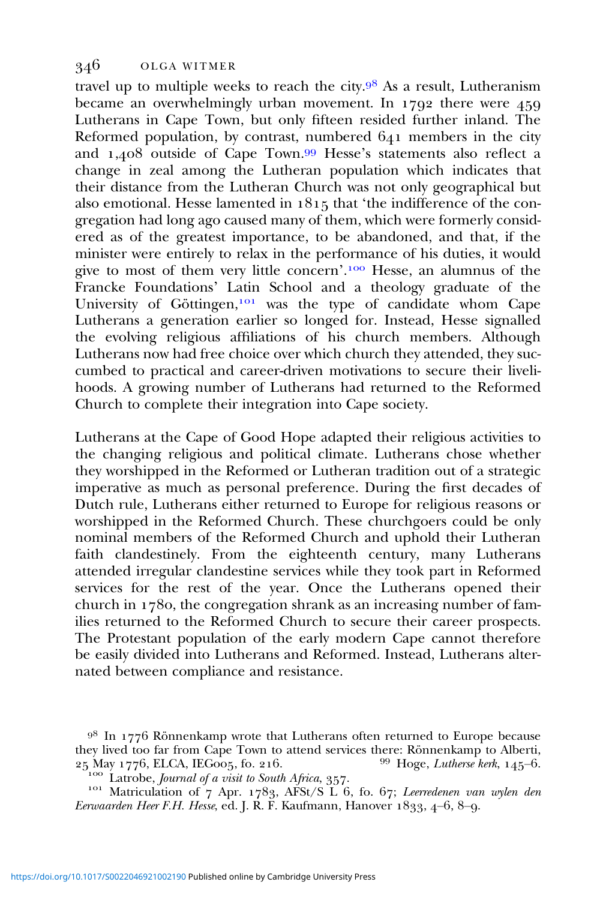travel up to multiple weeks to reach the city. $9^8$  As a result, Lutheranism became an overwhelmingly urban movement. In  $1792$  there were  $459$ Lutherans in Cape Town, but only fifteen resided further inland. The Reformed population, by contrast, numbered  $641$  members in the city and  $1,408$  outside of Cape Town.<sup>99</sup> Hesse's statements also reflect a change in zeal among the Lutheran population which indicates that their distance from the Lutheran Church was not only geographical but also emotional. Hesse lamented in  $1815$  that 'the indifference of the congregation had long ago caused many of them, which were formerly considered as of the greatest importance, to be abandoned, and that, if the minister were entirely to relax in the performance of his duties, it would give to most of them very little concern'.<sup>100</sup> Hesse, an alumnus of the Francke Foundations' Latin School and a theology graduate of the University of Göttingen,<sup>101</sup> was the type of candidate whom Cape Lutherans a generation earlier so longed for. Instead, Hesse signalled the evolving religious affiliations of his church members. Although Lutherans now had free choice over which church they attended, they succumbed to practical and career-driven motivations to secure their livelihoods. A growing number of Lutherans had returned to the Reformed Church to complete their integration into Cape society.

Lutherans at the Cape of Good Hope adapted their religious activities to the changing religious and political climate. Lutherans chose whether they worshipped in the Reformed or Lutheran tradition out of a strategic imperative as much as personal preference. During the first decades of Dutch rule, Lutherans either returned to Europe for religious reasons or worshipped in the Reformed Church. These churchgoers could be only nominal members of the Reformed Church and uphold their Lutheran faith clandestinely. From the eighteenth century, many Lutherans attended irregular clandestine services while they took part in Reformed services for the rest of the year. Once the Lutherans opened their church in  $1780$ , the congregation shrank as an increasing number of families returned to the Reformed Church to secure their career prospects. The Protestant population of the early modern Cape cannot therefore be easily divided into Lutherans and Reformed. Instead, Lutherans alternated between compliance and resistance.

 $9<sup>8</sup>$  In 1776 Rönnenkamp wrote that Lutherans often returned to Europe because they lived too far from Cape Town to attend services there: Rönnenkamp to Alberti,  $25$  May 1776, ELCA, IEGoo5, fo. 216. <sup>99</sup> Hoge, *Lutherse kerk*, 145–6.

 $\frac{M_{\text{1}}}{M_{\text{2}}}\sum_{i=1}^{M_{\text{2}}}\frac{M_{\text{2}}}{M_{\text{2}}}\int_{\text{2}}^{M_{\text{2}}}\rho_{i}^{i}$  Matriculation of  $\gamma$  Apr. 1783, AFSt/S L 6, fo. 67; Leerredenen van wylen den Eerwaarden Heer F.H. Hesse, ed. J. R. F. Kaufmann, Hanover  $1833, 4-6, 8-9$ .